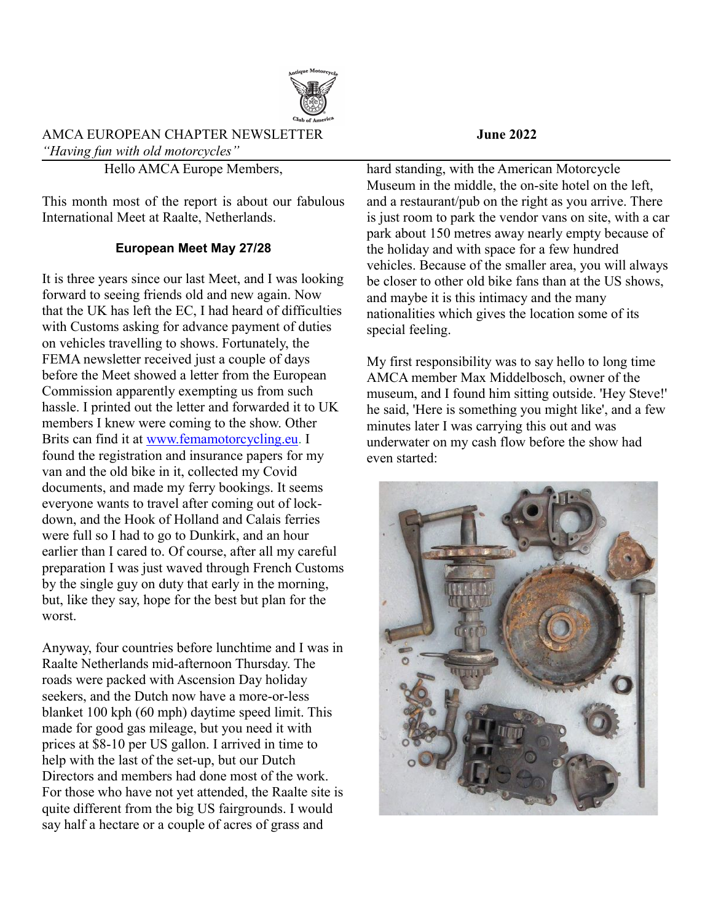

## AMCA EUROPEAN CHAPTER NEWSLETTER **June 2022** *"Having fun with old motorcycles"*

Hello AMCA Europe Members,

This month most of the report is about our fabulous International Meet at Raalte, Netherlands.

# **European Meet May 27/28**

It is three years since our last Meet, and I was looking forward to seeing friends old and new again. Now that the UK has left the EC, I had heard of difficulties with Customs asking for advance payment of duties on vehicles travelling to shows. Fortunately, the FEMA newsletter received just a couple of days before the Meet showed a letter from the European Commission apparently exempting us from such hassle. I printed out the letter and forwarded it to UK members I knew were coming to the show. Other Brits can find it at [www.femamotorcycling.eu](http://www.femamotorcycling.eu/). I found the registration and insurance papers for my van and the old bike in it, collected my Covid documents, and made my ferry bookings. It seems everyone wants to travel after coming out of lockdown, and the Hook of Holland and Calais ferries were full so I had to go to Dunkirk, and an hour earlier than I cared to. Of course, after all my careful preparation I was just waved through French Customs by the single guy on duty that early in the morning, but, like they say, hope for the best but plan for the worst.

Anyway, four countries before lunchtime and I was in Raalte Netherlands mid-afternoon Thursday. The roads were packed with Ascension Day holiday seekers, and the Dutch now have a more-or-less blanket 100 kph (60 mph) daytime speed limit. This made for good gas mileage, but you need it with prices at \$8-10 per US gallon. I arrived in time to help with the last of the set-up, but our Dutch Directors and members had done most of the work. For those who have not yet attended, the Raalte site is quite different from the big US fairgrounds. I would say half a hectare or a couple of acres of grass and

hard standing, with the American Motorcycle Museum in the middle, the on-site hotel on the left, and a restaurant/pub on the right as you arrive. There is just room to park the vendor vans on site, with a car park about 150 metres away nearly empty because of the holiday and with space for a few hundred vehicles. Because of the smaller area, you will always be closer to other old bike fans than at the US shows, and maybe it is this intimacy and the many nationalities which gives the location some of its special feeling.

My first responsibility was to say hello to long time AMCA member Max Middelbosch, owner of the museum, and I found him sitting outside. 'Hey Steve!' he said, 'Here is something you might like', and a few minutes later I was carrying this out and was underwater on my cash flow before the show had even started:

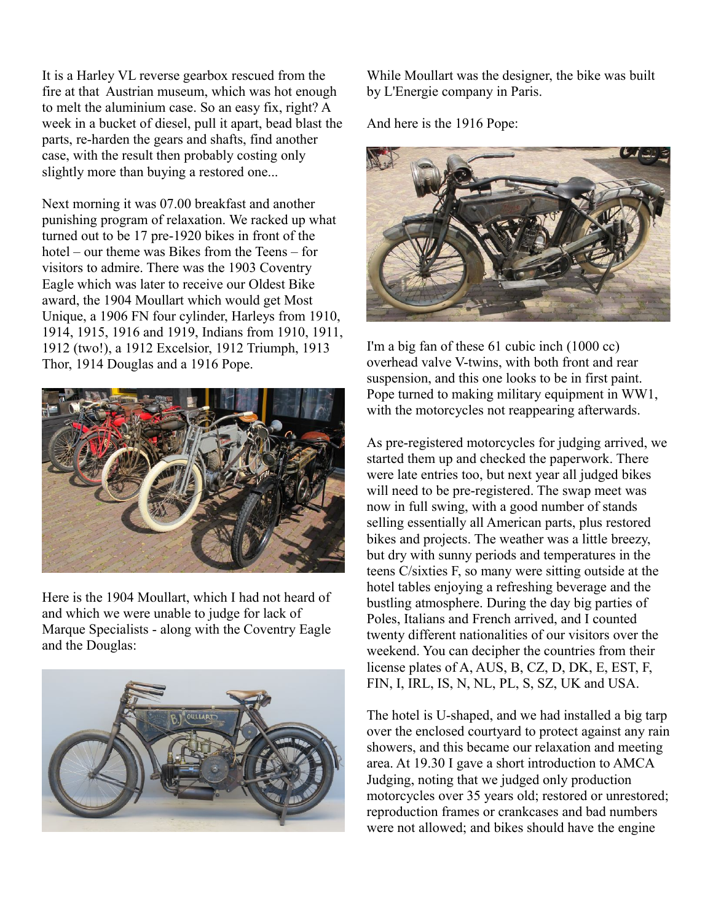It is a Harley VL reverse gearbox rescued from the fire at that Austrian museum, which was hot enough to melt the aluminium case. So an easy fix, right? A week in a bucket of diesel, pull it apart, bead blast the parts, re-harden the gears and shafts, find another case, with the result then probably costing only slightly more than buying a restored one...

Next morning it was 07.00 breakfast and another punishing program of relaxation. We racked up what turned out to be 17 pre-1920 bikes in front of the hotel – our theme was Bikes from the Teens – for visitors to admire. There was the 1903 Coventry Eagle which was later to receive our Oldest Bike award, the 1904 Moullart which would get Most Unique, a 1906 FN four cylinder, Harleys from 1910, 1914, 1915, 1916 and 1919, Indians from 1910, 1911, 1912 (two!), a 1912 Excelsior, 1912 Triumph, 1913 Thor, 1914 Douglas and a 1916 Pope.



Here is the 1904 Moullart, which I had not heard of and which we were unable to judge for lack of Marque Specialists - along with the Coventry Eagle and the Douglas:



While Moullart was the designer, the bike was built by L'Energie company in Paris.

And here is the 1916 Pope:



I'm a big fan of these 61 cubic inch (1000 cc) overhead valve V-twins, with both front and rear suspension, and this one looks to be in first paint. Pope turned to making military equipment in WW1, with the motorcycles not reappearing afterwards.

As pre-registered motorcycles for judging arrived, we started them up and checked the paperwork. There were late entries too, but next year all judged bikes will need to be pre-registered. The swap meet was now in full swing, with a good number of stands selling essentially all American parts, plus restored bikes and projects. The weather was a little breezy, but dry with sunny periods and temperatures in the teens C/sixties F, so many were sitting outside at the hotel tables enjoying a refreshing beverage and the bustling atmosphere. During the day big parties of Poles, Italians and French arrived, and I counted twenty different nationalities of our visitors over the weekend. You can decipher the countries from their license plates of A, AUS, B, CZ, D, DK, E, EST, F, FIN, I, IRL, IS, N, NL, PL, S, SZ, UK and USA.

The hotel is U-shaped, and we had installed a big tarp over the enclosed courtyard to protect against any rain showers, and this became our relaxation and meeting area. At 19.30 I gave a short introduction to AMCA Judging, noting that we judged only production motorcycles over 35 years old; restored or unrestored; reproduction frames or crankcases and bad numbers were not allowed; and bikes should have the engine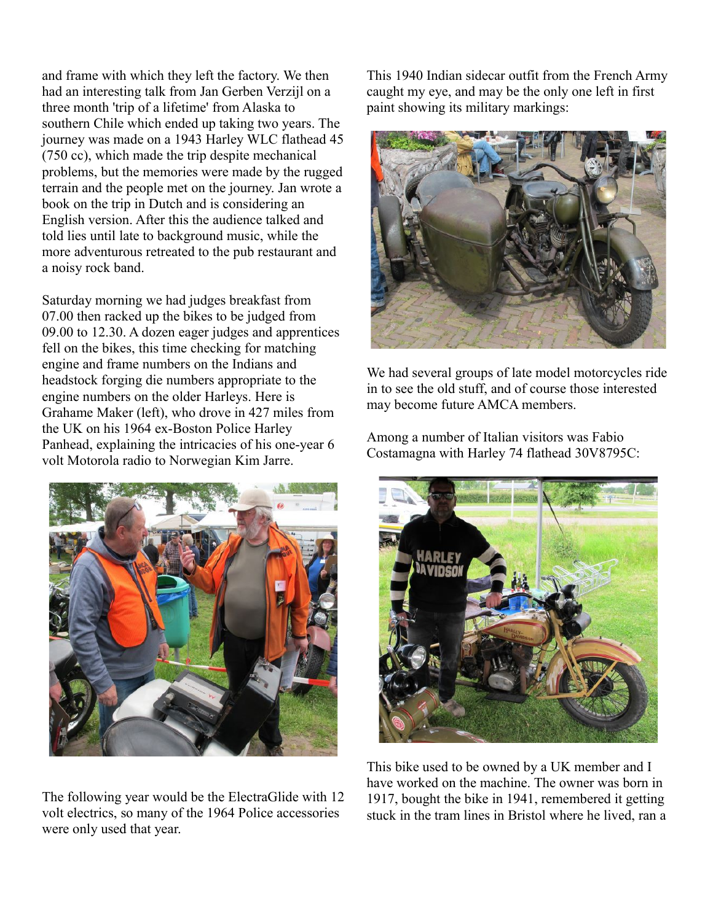and frame with which they left the factory. We then had an interesting talk from Jan Gerben Verzijl on a three month 'trip of a lifetime' from Alaska to southern Chile which ended up taking two years. The journey was made on a 1943 Harley WLC flathead 45 (750 cc), which made the trip despite mechanical problems, but the memories were made by the rugged terrain and the people met on the journey. Jan wrote a book on the trip in Dutch and is considering an English version. After this the audience talked and told lies until late to background music, while the more adventurous retreated to the pub restaurant and a noisy rock band.

Saturday morning we had judges breakfast from 07.00 then racked up the bikes to be judged from 09.00 to 12.30. A dozen eager judges and apprentices fell on the bikes, this time checking for matching engine and frame numbers on the Indians and headstock forging die numbers appropriate to the engine numbers on the older Harleys. Here is Grahame Maker (left), who drove in 427 miles from the UK on his 1964 ex-Boston Police Harley Panhead, explaining the intricacies of his one-year 6 volt Motorola radio to Norwegian Kim Jarre.



The following year would be the ElectraGlide with 12 volt electrics, so many of the 1964 Police accessories were only used that year.

This 1940 Indian sidecar outfit from the French Army caught my eye, and may be the only one left in first paint showing its military markings:



We had several groups of late model motorcycles ride in to see the old stuff, and of course those interested may become future AMCA members.

Among a number of Italian visitors was Fabio Costamagna with Harley 74 flathead 30V8795C:



This bike used to be owned by a UK member and I have worked on the machine. The owner was born in 1917, bought the bike in 1941, remembered it getting stuck in the tram lines in Bristol where he lived, ran a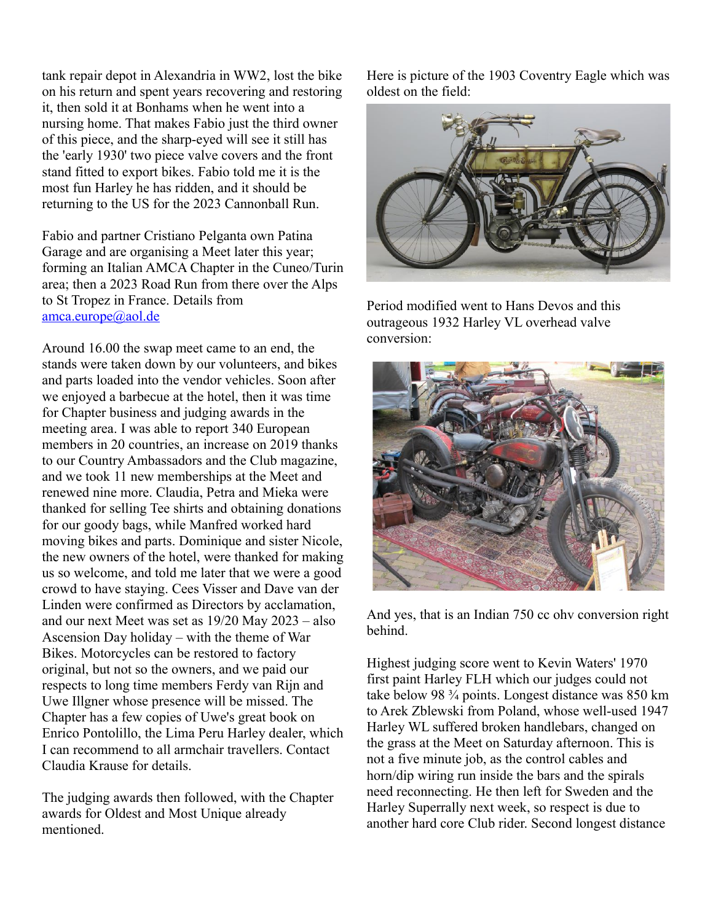tank repair depot in Alexandria in WW2, lost the bike on his return and spent years recovering and restoring it, then sold it at Bonhams when he went into a nursing home. That makes Fabio just the third owner of this piece, and the sharp-eyed will see it still has the 'early 1930' two piece valve covers and the front stand fitted to export bikes. Fabio told me it is the most fun Harley he has ridden, and it should be returning to the US for the 2023 Cannonball Run.

Fabio and partner Cristiano Pelganta own Patina Garage and are organising a Meet later this year; forming an Italian AMCA Chapter in the Cuneo/Turin area; then a 2023 Road Run from there over the Alps to St Tropez in France. Details from [amca.europe@aol.de](mailto:amca-europe@aol.de)

Around 16.00 the swap meet came to an end, the stands were taken down by our volunteers, and bikes and parts loaded into the vendor vehicles. Soon after we enjoyed a barbecue at the hotel, then it was time for Chapter business and judging awards in the meeting area. I was able to report 340 European members in 20 countries, an increase on 2019 thanks to our Country Ambassadors and the Club magazine, and we took 11 new memberships at the Meet and renewed nine more. Claudia, Petra and Mieka were thanked for selling Tee shirts and obtaining donations for our goody bags, while Manfred worked hard moving bikes and parts. Dominique and sister Nicole, the new owners of the hotel, were thanked for making us so welcome, and told me later that we were a good crowd to have staying. Cees Visser and Dave van der Linden were confirmed as Directors by acclamation, and our next Meet was set as 19/20 May 2023 – also Ascension Day holiday – with the theme of War Bikes. Motorcycles can be restored to factory original, but not so the owners, and we paid our respects to long time members Ferdy van Rijn and Uwe Illgner whose presence will be missed. The Chapter has a few copies of Uwe's great book on Enrico Pontolillo, the Lima Peru Harley dealer, which I can recommend to all armchair travellers. Contact Claudia Krause for details.

The judging awards then followed, with the Chapter awards for Oldest and Most Unique already mentioned.

Here is picture of the 1903 Coventry Eagle which was oldest on the field:



Period modified went to Hans Devos and this outrageous 1932 Harley VL overhead valve conversion:



And yes, that is an Indian 750 cc ohv conversion right behind.

Highest judging score went to Kevin Waters' 1970 first paint Harley FLH which our judges could not take below 98 ¾ points. Longest distance was 850 km to Arek Zblewski from Poland, whose well-used 1947 Harley WL suffered broken handlebars, changed on the grass at the Meet on Saturday afternoon. This is not a five minute job, as the control cables and horn/dip wiring run inside the bars and the spirals need reconnecting. He then left for Sweden and the Harley Superrally next week, so respect is due to another hard core Club rider. Second longest distance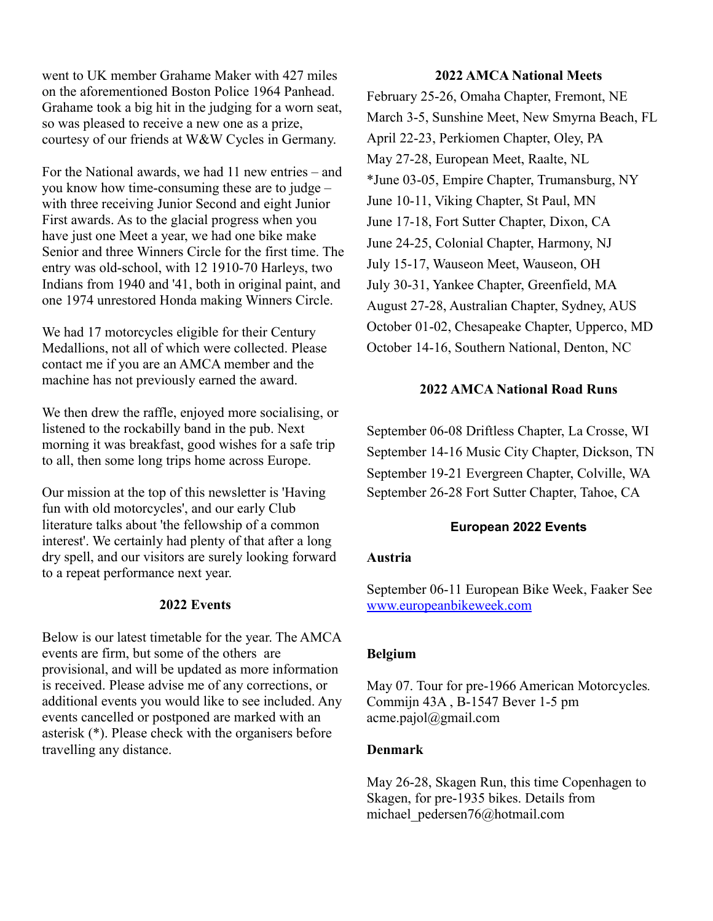went to UK member Grahame Maker with 427 miles on the aforementioned Boston Police 1964 Panhead. Grahame took a big hit in the judging for a worn seat, so was pleased to receive a new one as a prize, courtesy of our friends at W&W Cycles in Germany.

For the National awards, we had 11 new entries – and you know how time-consuming these are to judge – with three receiving Junior Second and eight Junior First awards. As to the glacial progress when you have just one Meet a year, we had one bike make Senior and three Winners Circle for the first time. The entry was old-school, with 12 1910-70 Harleys, two Indians from 1940 and '41, both in original paint, and one 1974 unrestored Honda making Winners Circle.

We had 17 motorcycles eligible for their Century Medallions, not all of which were collected. Please contact me if you are an AMCA member and the machine has not previously earned the award.

We then drew the raffle, enjoyed more socialising, or listened to the rockabilly band in the pub. Next morning it was breakfast, good wishes for a safe trip to all, then some long trips home across Europe.

Our mission at the top of this newsletter is 'Having fun with old motorcycles', and our early Club literature talks about 'the fellowship of a common interest'. We certainly had plenty of that after a long dry spell, and our visitors are surely looking forward to a repeat performance next year.

#### **2022 Events**

Below is our latest timetable for the year. The AMCA events are firm, but some of the others are provisional, and will be updated as more information is received. Please advise me of any corrections, or additional events you would like to see included. Any events cancelled or postponed are marked with an asterisk (\*). Please check with the organisers before travelling any distance.

### **2022 AMCA National Meets**

February 25-26, Omaha Chapter, Fremont, NE March 3-5, Sunshine Meet, New Smyrna Beach, FL April 22-23, Perkiomen Chapter, Oley, PA May 27-28, European Meet, Raalte, NL \*June 03-05, Empire Chapter, Trumansburg, NY June 10-11, Viking Chapter, St Paul, MN June 17-18, Fort Sutter Chapter, Dixon, CA June 24-25, Colonial Chapter, Harmony, NJ July 15-17, Wauseon Meet, Wauseon, OH July 30-31, Yankee Chapter, Greenfield, MA August 27-28, Australian Chapter, Sydney, AUS October 01-02, Chesapeake Chapter, Upperco, MD October 14-16, Southern National, Denton, NC

#### **2022 AMCA National Road Runs**

September 06-08 Driftless Chapter, La Crosse, WI September 14-16 Music City Chapter, Dickson, TN September 19-21 Evergreen Chapter, Colville, WA September 26-28 Fort Sutter Chapter, Tahoe, CA

#### **European 2022 Events**

#### **Austria**

September 06-11 European Bike Week, Faaker See [www.europeanbikeweek.com](http://www.europeanbikeweek.com/)

#### **Belgium**

May 07. Tour for pre-1966 American Motorcycles*.*  Commijn 43A , B-1547 Bever 1-5 pm acme.pajol@gmail.com

#### **Denmark**

May 26-28, Skagen Run, this time Copenhagen to Skagen, for pre-1935 bikes. Details from michael\_pedersen76@hotmail.com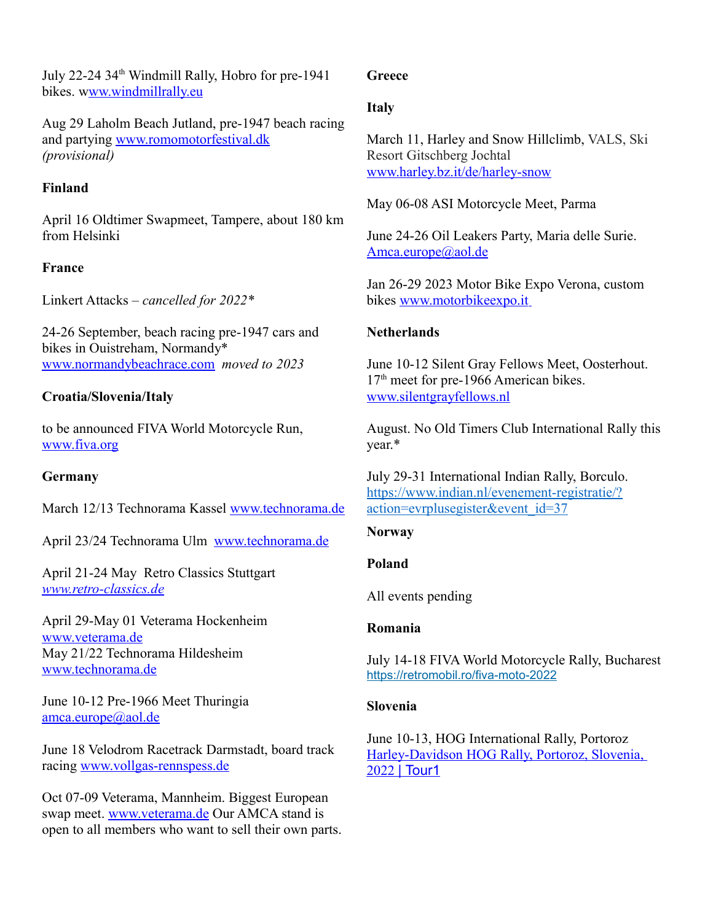July 22-24 34th Windmill Rally, Hobro for pre-1941 bikes. [www.windmillrally.eu](http://Www.windmillrally.eu/)

Aug 29 Laholm Beach Jutland, pre-1947 beach racing and partying [www.romomotorfestival.dk](http://www.romomotorfestival.dk/) *(provisional)*

# **Finland**

April 16 Oldtimer Swapmeet, Tampere, about 180 km from Helsinki

# **France**

Linkert Attacks – *cancelled for 2022\**

24-26 September, beach racing pre-1947 cars and bikes in Ouistreham, Normandy\* [www.normandybeachrace.com](http://www.normandybeachrace.com/) *moved to 2023*

# **Croatia/Slovenia/Italy**

to be announced FIVA World Motorcycle Run, [www.fiva.org](http://www.mavamsz.hu/)

## **Germany**

March 12/13 Technorama Kassel [www.technorama.de](http://www.technorama.de/)

April 23/24 Technorama Ulm [www.technorama.de](http://www.technorama.de/)

April 21-24 May Retro Classics Stuttgart  *[www.retro-classics.de](http://www.retro-classics.d/)*

April 29-May 01 Veterama Hockenheim [www.veterama.de](http://www.veterama.de/) May 21/22 Technorama Hildesheim [www.technorama.de](http://www.technorama.de/)

June 10-12 Pre-1966 Meet Thuringia [amca.europe@aol.de](mailto:amca-europe@aol.de)

June 18 Velodrom Racetrack Darmstadt, board track racing [www.vollgas-rennspess.de](http://www.vollgas-rennspess.de/)

Oct 07-09 Veterama, Mannheim. Biggest European swap meet. [www.veterama.de](http://www.veterama.de/) Our AMCA stand is open to all members who want to sell their own parts.

## **Greece**

## **Italy**

March 11, Harley and Snow Hillclimb, VALS, Ski Resort Gitschberg Jochtal [www.harley.bz.it/de/harley-snow](http://www.harley.bz.it/de/harley-snow)

May 06-08 ASI Motorcycle Meet, Parma

June 24-26 Oil Leakers Party, Maria delle Surie. [Amca.europe@aol.de](mailto:amca-europe@aol.de)

Jan 26-29 2023 Motor Bike Expo Verona, custom bikes [www.motorbikeexpo.it](http://www.motorbikeexpo.it/)

## **Netherlands**

June 10-12 Silent Gray Fellows Meet, Oosterhout.  $17<sup>th</sup>$  meet for pre-1966 American bikes. [www.silentgrayfellows.nl](http://www.silentgrayfellows.nl/)

August. No Old Timers Club International Rally this year.\*

July 29-31 International Indian Rally, Borculo. [https://www.indian.nl/evenement-registratie/?](https://www.indian.nl/evenement-registratie/?action=evrplusegister&event_id=37) [action=evrplusegister&event\\_id=37](https://www.indian.nl/evenement-registratie/?action=evrplusegister&event_id=37)

## **Norway**

#### **Poland**

All events pending

## **Romania**

July 14-18 FIVA World Motorcycle Rally, Bucharest [https://retromobil.ro/fiva-moto-2022](https://clickeuc1.actmkt.com/s/055-459fb3e1-4ad1-4ffb-bc2a-6b8df8ab01b5?enr=naahiaduabyaa4yahiac6abpabzaaziaoqaheadpabwqa3yamiagsadmaaxaa4qan4ac6adgabuqa5qameac2adnabxqa5aan4ac2absaayaamqagiahyadwabwaa2aamuagcadwabsqa3qaiaagcadpabwaalqammag6adnab6aamaapqadcabsabsqayqameagiadbabrqaliamuadmabsaayqaliagqadgabqaa3aaliahaadoaddaa3aaliag4adsabyabraanqamyadeabuabrqamyagiaggad4aayaaniagiac2abwaayqamyameadeabsaayaamiafuadaabxabsaanyafuadiabraa3aamyafuadsadcaazaamqafuadqaddabraanqag4adqadeaa2qazqagmadqadbab6aamaaguadsabnabraamiagyadqabyaazaazaagyac2adeaa2qanyamyac2abuabqqayiammac2adbaa2aaniag4ac2abyaa3aayqagaagiadfaazaaniaguadoabzabraa7aagaadaabraawqamiaheageabtaa2qanqamqageabnaa2aaoaagyadoabnaa2aanyagyadsabnaa4qaniammaggabnaayaamiamuageabtabsqazqagyadcabyaa3aayyapqadsabqaazaanaagiadoadbabtaaliameageadeaazaaliagqadaadbaa2qaliamiagcaddaa3qaliammadsabvabsaaniagaadaadfaa4qanyagqadaad4abaqa7aa)

#### **Slovenia**

June 10-13, HOG International Rally, Portoroz [Harley-Davidson HOG Rally, Portoroz, Slovenia,](https://www.tour1.com/motorcycle-tours/portoroz2022/)   [2022](https://www.tour1.com/motorcycle-tours/portoroz2022/)[| Tour1](https://www.tour1.com/motorcycle-tours/portoroz2022/)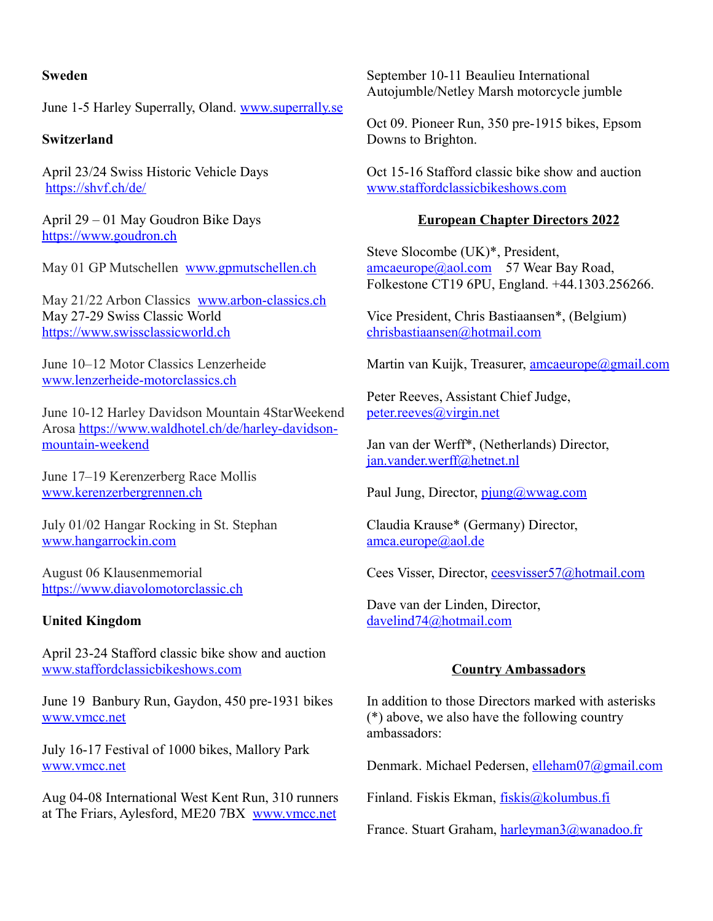## **Sweden**

June 1-5 Harley Superrally, Oland. [www.superrally.se](http://www.superrally.se/)

## **Switzerland**

April 23/24 Swiss Historic Vehicle Days <https://shvf.ch/de/>

April 29 – 01 May Goudron Bike Days [https://www.goudron.ch](https://www.goudron.ch/)

May 01 GP Mutschellen [www.gpmutschellen.ch](http://www.gpmutschellen.ch/)

May 21/22 Arbon Classics [www.arbon-classics.ch](http://www.arbon-classics.ch/) May 27-29 Swiss Classic World [https://www.swissclassicworld.ch](https://www.swissclassicworld.ch/)

June 10–12 Motor Classics Lenzerheide [www.lenzerheide-motorclassics.ch](http://www.lenzerheide-motorclassics.ch/)

June 10-12 Harley Davidson Mountain 4StarWeekend Arosa [https://www.waldhotel.ch/de/harley-davidson](https://www.waldhotel.ch/de/harley-davidson-mountain-weekend)[mountain-weekend](https://www.waldhotel.ch/de/harley-davidson-mountain-weekend)

June 17–19 Kerenzerberg Race Mollis [www.kerenzerbergrennen.ch](http://www.kerenzerbergrennen.ch/)

July 01/02 Hangar Rocking in St. Stephan [www.hangarrockin.com](http://www.hangarrockin.com/)

August 06 Klausenmemorial [https://www.diavolomotorclassic.ch](https://www.diavolomotorclassic.ch/)

## **United Kingdom**

April 23-24 Stafford classic bike show and auction [www.staffordclassicbikeshows.com](http://www.staffordclassicbikeshows.com/)

June 19 Banbury Run, Gaydon, 450 pre-1931 bikes [www.vmcc.net](http://www.vmcc.net/) 

July 16-17 Festival of 1000 bikes, Mallory Park [www.vmcc.net](http://www.vmcc.net/)

Aug 04-08 International West Kent Run, 310 runners at The Friars, Aylesford, ME20 7BX [www.vmcc.net](http://www.vmcc.net/)

September 10-11 Beaulieu International Autojumble/Netley Marsh motorcycle jumble

Oct 09. Pioneer Run, 350 pre-1915 bikes, Epsom Downs to Brighton.

Oct 15-16 Stafford classic bike show and auction [www.staffordclassicbikeshows.com](http://www.staffordclassicbikeshows.com/)

#### **European Chapter Directors 2022**

Steve Slocombe (UK)\*, President,  $\frac{\text{amcaeurope}(a)$ aol.com 57 Wear Bay Road, Folkestone CT19 6PU, England. +44.1303.256266.

Vice President, Chris Bastiaansen\*, (Belgium) [chrisbastiaansen@hotmail.com](mailto:chrisbastiaansen@hotmail.com)

Martin van Kuijk, Treasurer, [amcaeurope@gmail.com](mailto:amcaeurope@gmail.com)

Peter Reeves, Assistant Chief Judge, [peter.reeves@virgin.net](mailto:peter.reeves@virgin.net)

Jan van der Werff\*, (Netherlands) Director, [jan.vander.werff@hetnet.nl](mailto:jan.vander.werff@hetnet.nl)

Paul Jung, Director, [pjung@wwag.com](mailto:pjung@wwag.com)

Claudia Krause\* (Germany) Director, [amca.europe@aol.de](mailto:amcaeurope@aol.de)

Cees Visser, Director, ceesvisser57@hotmail.com

Dave van der Linden, Director, [davelind74@hotmail.com](mailto:davelind74@hotmail.com)

## **Country Ambassadors**

In addition to those Directors marked with asterisks (\*) above, we also have the following country ambassadors:

Denmark. Michael Pedersen, [elleham07@gmail.com](mailto:elleham07@gmail.com) 

Finland. Fiskis Ekman, [fiskis@kolumbus.fi](mailto:fiskis@kolumbus.fi)

France. Stuart Graham, [harleyman3@wanadoo.fr](mailto:harleyman3@wanadoo.fr)